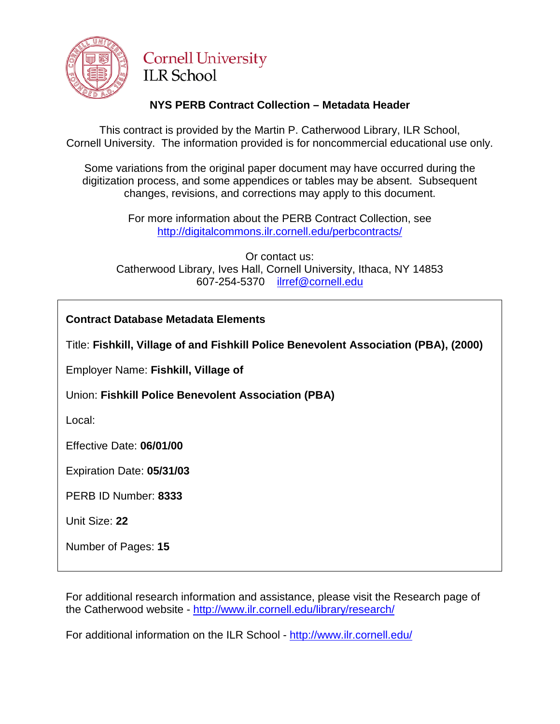

# **Cornell University ILR School**

# **NYS PERB Contract Collection – Metadata Header**

This contract is provided by the Martin P. Catherwood Library, ILR School, Cornell University. The information provided is for noncommercial educational use only.

Some variations from the original paper document may have occurred during the digitization process, and some appendices or tables may be absent. Subsequent changes, revisions, and corrections may apply to this document.

> For more information about the PERB Contract Collection, see http://digitalcommons.ilr.cornell.edu/perbcontracts/

Or contact us: Catherwood Library, Ives Hall, Cornell University, Ithaca, NY 14853 607-254-5370 [ilrref@cornell.edu](mailto:ilrref@cornell.edu)

**Contract Database Metadata Elements**

Title: **Fishkill, Village of and Fishkill Police Benevolent Association (PBA), (2000)**

Employer Name: **Fishkill, Village of**

Union: **Fishkill Police Benevolent Association (PBA)**

Local:

Effective Date: **06/01/00**

Expiration Date: **05/31/03**

PERB ID Number: **8333**

Unit Size: **22**

Number of Pages: **15**

For additional research information and assistance, please visit the Research page of the Catherwood website - <http://www.ilr.cornell.edu/library/research/>

For additional information on the ILR School - <http://www.ilr.cornell.edu/>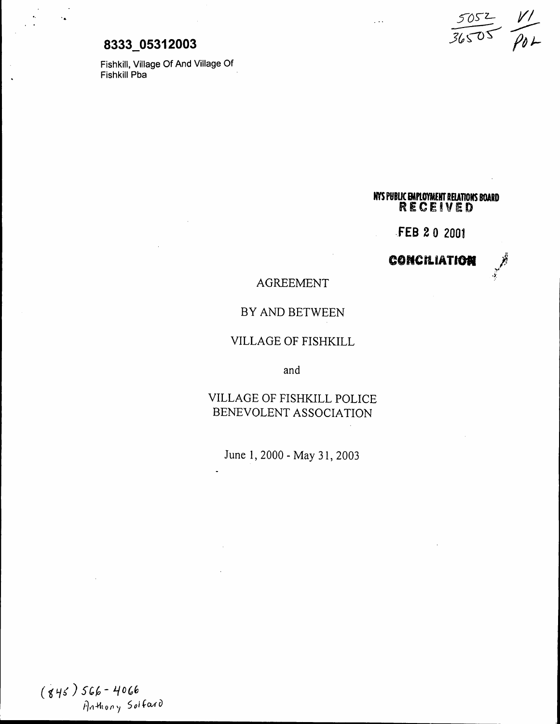# **8333 05312003**

'..

Fishkill, Village Of And Village Of Fishkill Pba .

*S-()5"'Z-* 1//  $\subsetneq$  $36505$   $\rho_{04}$ 

**NVS** PUBLIC EMPLOYMENT RELATIONS BUARD<br>
RECEIVED

..FEB 2 0 2001

**CONCILIATION** 

# .):

# AGREEMENT

## BY AND BETWEEN

#### VILLAGE OF FISHKILL

and

# VILLAGE OF FISHKILL POLICE BENEVOLENT ASSOCIATION

June 1, <sup>2000</sup> - May 31, <sup>2003</sup>

 $(845)$  566 - 4066 Anthony Solfard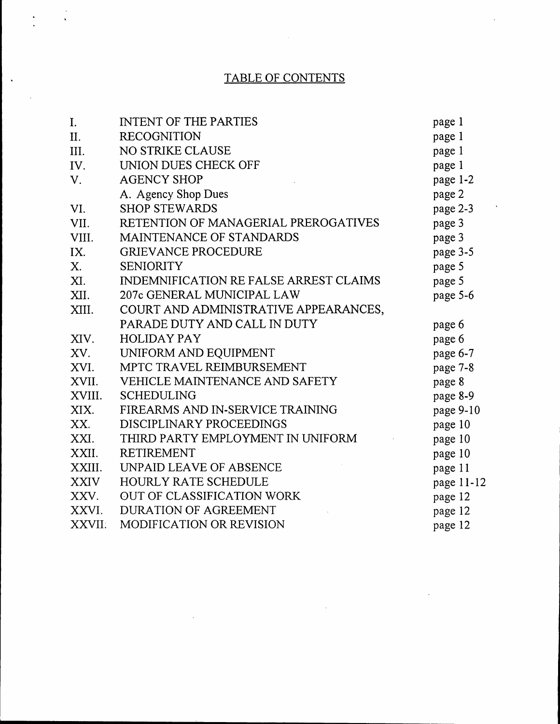# TABLE OF CONTENTS

 $\mathcal{L}^{\text{max}}_{\text{max}}$ 

 $\frac{1}{\sqrt{2}}$ 

 $\bullet.$ 

 $\ddot{\phantom{a}}$ 

| I.          | <b>INTENT OF THE PARTIES</b>           | page 1     |
|-------------|----------------------------------------|------------|
| II.         | <b>RECOGNITION</b>                     | page 1     |
| III.        | NO STRIKE CLAUSE                       | page 1     |
| IV.         | UNION DUES CHECK OFF                   | page 1     |
| V.          | <b>AGENCY SHOP</b>                     | page 1-2   |
|             | A. Agency Shop Dues                    | page 2     |
| VI.         | <b>SHOP STEWARDS</b>                   | page 2-3   |
| VII.        | RETENTION OF MANAGERIAL PREROGATIVES   | page 3     |
| VIII.       | MAINTENANCE OF STANDARDS               | page 3     |
| IX.         | <b>GRIEVANCE PROCEDURE</b>             | page 3-5   |
| Х.          | <b>SENIORITY</b>                       | page 5     |
| XI.         | INDEMNIFICATION RE FALSE ARREST CLAIMS | page 5     |
| XII.        | 207c GENERAL MUNICIPAL LAW             | page 5-6   |
| XIII.       | COURT AND ADMINISTRATIVE APPEARANCES,  |            |
|             | PARADE DUTY AND CALL IN DUTY           | page 6     |
| XIV.        | <b>HOLIDAY PAY</b>                     | page 6     |
| XV.         | UNIFORM AND EQUIPMENT                  | page 6-7   |
| XVI.        | MPTC TRAVEL REIMBURSEMENT              | page 7-8   |
| XVII.       | VEHICLE MAINTENANCE AND SAFETY         | page 8     |
| XVIII.      | <b>SCHEDULING</b>                      | page 8-9   |
| XIX.        | FIREARMS AND IN-SERVICE TRAINING       | page 9-10  |
| XX.         | DISCIPLINARY PROCEEDINGS               | page 10    |
| XXI.        | THIRD PARTY EMPLOYMENT IN UNIFORM      | page 10    |
| XXII.       | <b>RETIREMENT</b>                      | page 10    |
| XXIII.      | <b>UNPAID LEAVE OF ABSENCE</b>         | page 11    |
| <b>XXIV</b> | <b>HOURLY RATE SCHEDULE</b>            | page 11-12 |
| XXV.        | OUT OF CLASSIFICATION WORK             | page 12    |
| XXVI.       | <b>DURATION OF AGREEMENT</b>           | page 12    |
| XXVII.      | <b>MODIFICATION OR REVISION</b>        | page 12    |

 $\sim$   $\sim$ 

 $\sim$   $\sim$ 

 $\ddot{\phantom{a}}$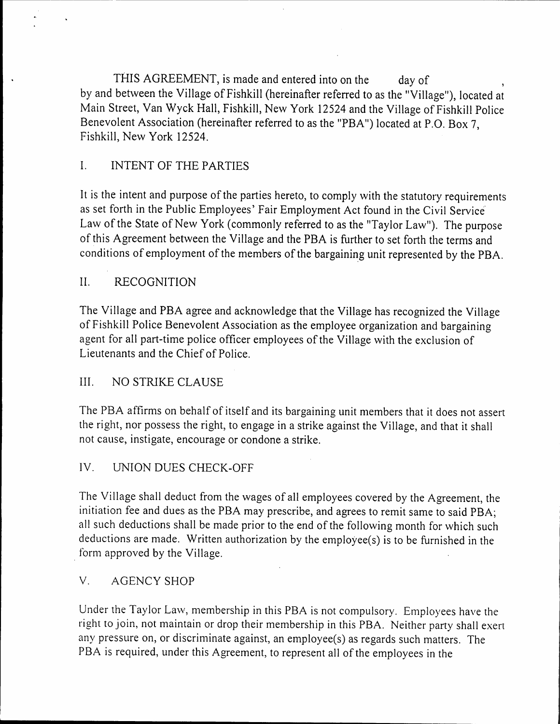THIS AGREEMENT, is made and entered into on the day of by and between the Village of Fishkill (hereinafter referred to as the "Village"), located at Main Street, Van Wyck Hall, Fishkill, New York 12524 and the Village of Fishkill Police Benevolent Association (hereinafter referred to as the "PBA") located at P.O. Box 7, Fishkill, Ne\v York 12524.

# 1. INTENT OF THE PARTIES

It is the intent and purpose of the parties hereto, to comply with the statutory requirements as set forth in the Public Employees' Fair Employment Act found in the CiviI Service' Law of the State of New York (commonly referred to as the "Taylor Law"). The purpose of this Agreement between the Village and the PBA is further to set forth the terms and conditions of employment of the members of the bargaining unit represented by the PBA.

# II. RECOGNITION

The Village and PBA agree and acknowledge that the Village has recognized the Village of Fishkill Police Benevolent Association as the employee organization and bargaining agent for all part-time police officer employees of the Village with the exclusion of Lieutenants and the Chief of Police.

## III. NO STRIKE CLAUSE

The PBA affirms on behalf of itself and its bargaining unit members that it does not assert the right, nor possess the right, to engage in a strike against the Village, and that it shall not cause, instigate, encourage or condone a strike.

## IV. UNION DUES CHECK-OFF

The Village shall deduct from the wages of all employees covered by the Agreement, the initiation fee and dues as the PBA may prescribe, and agrees to remit same to said PBA; all such deductions shall be made prior to the end of the following month for which such deductions are made. Written authorization by the employee(s) is to be furnished in the form approved by the Village.

## v. AGENCY SHOP

Under the Taylor Law, membership in this PBA is not compulsory. Employees have the right to join, not maintain or drop their membership in this PBA. Neither party shall exert any pressure on, or discriminate against, an employee(s) as regards such matters. The PBA is required, under this Agreement, to represent all of the employees in the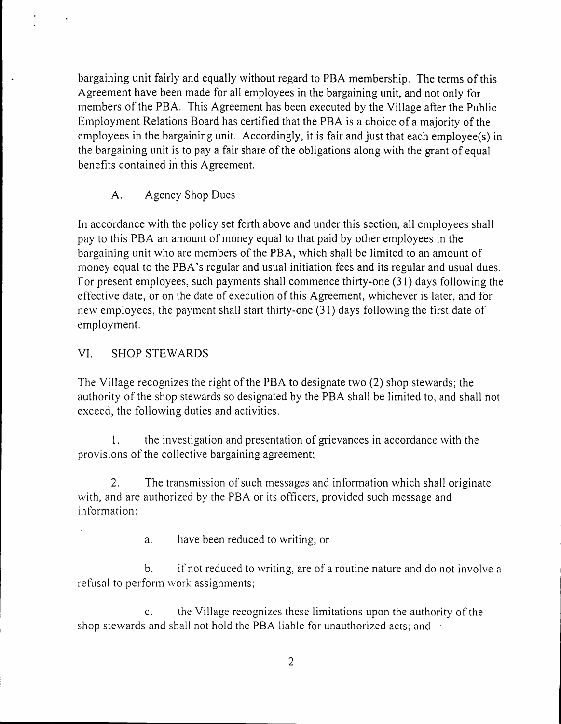bargaining unit fairly and equally without regard to PBA membership. The terms of this Agreement have been made for all employees in the bargaining unit, and not only for inembers of the PBA. This Agreement has been executed by the Village after the Public Employment Relations Board has certified that the PBA is a choice of a majority of the employees in the bargaining unit. Accordingly, it is fair and just that each employee(s) in the bargaining unit is to pay a fair share of the obligations along with the grant of equal benefits contained in this Agreement.

A. Agency Shop Dues

In accordance with the policy set forth above and under this section, all employees shall pay to this PBA an amount of money equal to that paid by other employees in the bargaining unit who are members of the PBA, which shall be limited to an amount of money equal to the PBA's regular and usual initiation fees and its regular and usual dues. For present employees, such payments shall commence thirty-one  $(31)$  days following the effective date, or on the date of execution of this Agreement, \vhichever is later, and for new employees, the payment shall start thirty-one  $(31)$  days following the first date of employment.

# VI. SHOP STEWARDS

The Village recognizes the right of the PBA to designate two  $(2)$  shop stewards; the authority of the shop stewards so designated by the PBA shall be limited to, and shall not exceed, the following duties and activities.

1. the investigation and presentation of grievances in accordance with the provisions of the collective bargaining agreement;

2. The transmission of such messages and information which shall originate with, and are authorized by the PBA or its officers, provided such message and information:

a. have been reduced to writing; or

b. if not reduced to writing, are of a routine nature and do not involve a refusal to perform work assignments;

c. the Village recognizes these limitations upon the authority of the shop stewards and shall not hold the PBA liable for unauthorized acts; and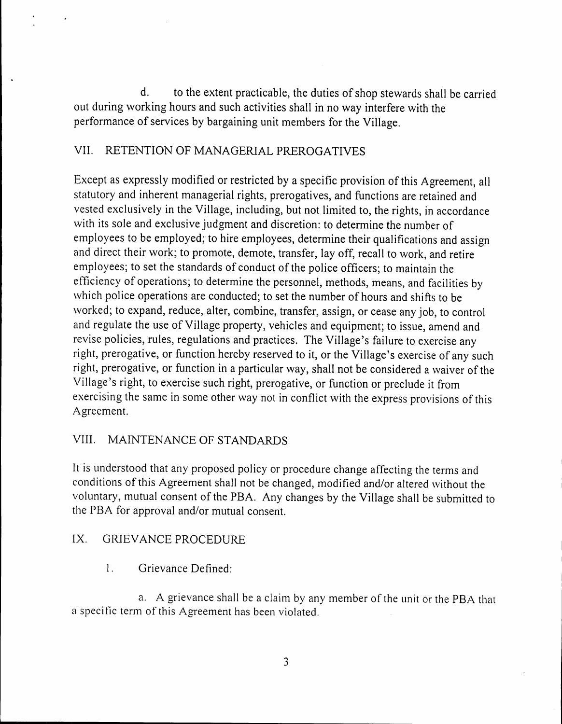d. to the extent practicable, the duties of shop stewards shall be carried out during working hours and such activities shall in no way interfere with the performance of services by bargaining unit members for the Village.

# VII. RETENTION OF MANAGERIAL PREROGATIVES

Except as expressly modified or restricted by a specific provision of this Agreement, all statutory and inherent managerial rights, prerogatives, and functions are retained and vested exclusively in the Village, including, but not limited to, the rights, in accordance with its sole and exclusive judgment and discretion: to determine the number of employees to be employed; to hire employees, determine their qualifications and assign and direct their work; to promote, demote, transfer, lay off, recall to work, and retire employees; to set the standards of conduct of the police officers; to maintain the efficiency of operations; to determine the personnel, methods, means, and facilities by which police operations are conducted; to set the number of hours and shifts to be worked; to expand, reduce, alter, combine, transfer, assign, or cease any job, to control and regulate the use of Village property, vehicles and equipment; to issue, amend and revise policies, rules, regulations and practices. The Village's failure to exercise any right, prerogative, or function hereby reserved to it, or the Village's exercise of any such right, prerogative, or function in a particular way, shall not be considered a waiver of the Village's right, to exercise such right, prerogative, or function or preclude it from exercising the same in some other way not in conflict with the express provisions of this Agreement.

# VIII. MAINTENANCE OF STANDARDS

It is understood that any proposed policy or procedure change affecting the terms and conditions of this Agreement shall not be changed, modified and/or altered without the voluntary, mutual consent of the PBA. Any changes by the Village shall be submitted to the PBA for approval and/or mutual consent.

## IX. GRIEVANCE PROCEDURE

1. Grievance Defined:

a. A grievance shall be a claim by any member of the unit or the PBA that a specific term of this Agreement has been violated.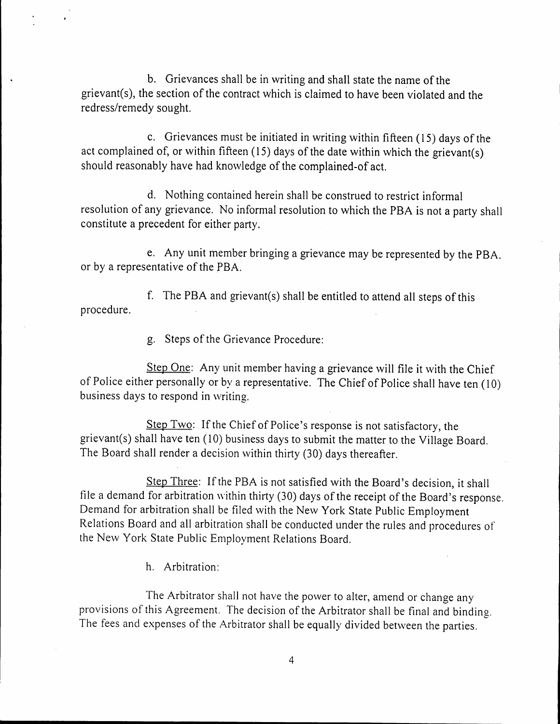b. Grievances shall be in writing and shall state the name of the grievant(s), the section of the contract which is claimed to have been violated and the redress/remedy sought.

c. Grievances must be initiated in writing \\'ithin fifteen (15) days of the act complained of, or within fifteen  $(15)$  days of the date within which the grievant(s) should reasonably have had knowledge of the complained-of act.

d. Nothing contained herein shall be construed to restrict informal resolution of any grievance. No informal resolution to which the PBA is not a party shall constitute a precedent for either party.

e. Any unit member bringing a grievance may be represented by the PBA. or by a representative of the *pBA.*

f. The PBA and grievant(s) shall be entitled to attend all steps of this procedure.

g. Steps of the Grievance Procedure:

Step One: Any unit member having a grievance will file it with the Chief of Police either personally or by a representative. The Chief of Police shall have ten (10) business days to respond in writing.

Step Two: If the Chief of Police's response is not satisfactory, the grievant(s) shall have ten (10) business days to submit the matter to the Village Board. The Board shall render a decision within thirty (30) days thereafter.

Step Three: If the PBA is not satisfied with the Board's decision, it shall file a demand for arbitration within thirty (30) days of the receipt of the Board's response. Demand for arbitration shall be filed \vith the Ne\v York State Public Employment Relations Board and all arbitration shall be conducted under the rules and procedures of the New York State Public Employment Relations Board.

h. Arbitration:

The Arbitrator shall not have the power to alter, amend or change any provisions of this Agreement. The decision of the Arbitrator shall be final and binding. The fees and expenses of the Arbitrator shall be equally divided between the parties.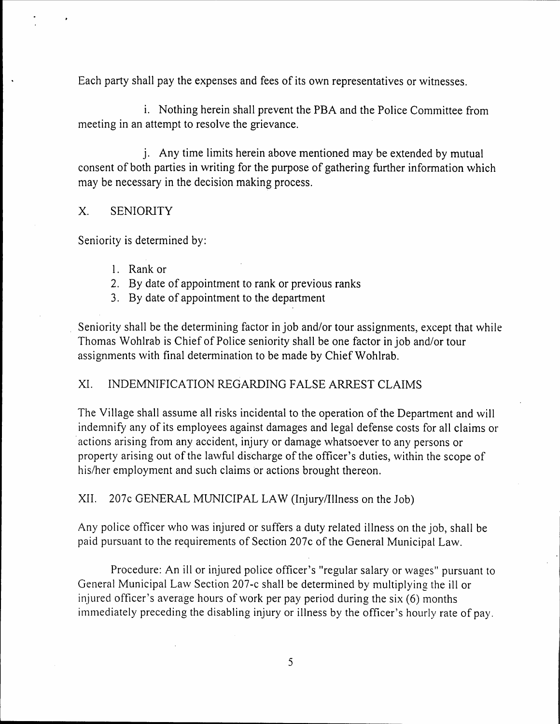Each party shall pay the expenses and fees of its own representatives or witnesses.

i. Nothing herein shall prevent the PBA and the Police Committee from meeting in an attempt to resolve the grievance.

j. Any time limits herein above mentioned may be extended by mutual consent of both parties in writing for the purpose of gathering further information which may be necessary in the decision making process.

#### x. SENIORITY

Seniority is determined by:

- I. Rank or
- 2. By date of appointment to rank or previous ranks
- 3. By date of appointment to the department

Seniority shall be the determining factor in job and/or tour assignments, except that while Thomas Wohlrab is Chief of Police seniority shall be one factor in job and/or tour assignments with final determination to be made by Chief Wohlrab.

## XI. INDEMNIFICATION REGARDING FALSE ARREST CLAIMS

The Village shall assume all risks incidental to the operation of the Department and will indemnify any of its employees against damages and legal defense costs for all claims or actions arising from any accident, injury or damage whatsoever to any persons or property arising out of the lawful discharge of the officer's duties, within the scope of his/her employment and such claims or actions brought thereon.

XII. 207c GENERAL MUNICIPAL LAW (Injury/Illness on the Job)

Any police officer who was injured or suffers a duty related illness on the job, shall be paid pursuant to the requirements of Section 207c of the General Municipal Law.

Procedure: An ill or injured police officer's "regular salary or wages" pursuant to General Municipal Lavv Section 207-c shall be determined by multiplying the ill or injured officer's average hours of work per pay period during the six (6) months immediately preceding the disabling injury or illness by the officer's hourly rate of pay.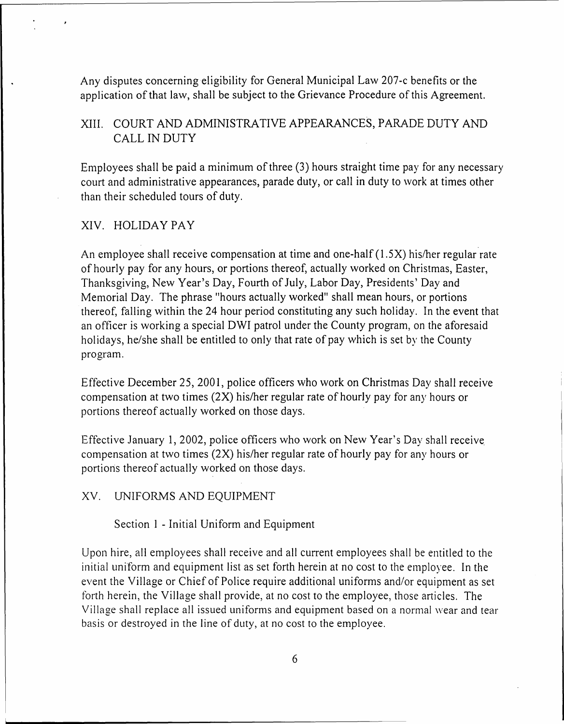Any disputes concerning eligibility for General Municipal Law 207-c benefits or the application of that law, shall be subject to the Grievance Procedure of this Agreement.

## XIII. COURT AND ADMINISTRATIVE APPEARANCES, PARADE DUTY AND CALL IN DUTY

Employees shall be paid a minimum of three  $(3)$  hours straight time pay for any necessary court and administrative appearances, parade duty, or call in duty to work at times other than their scheduled tours of duty.

#### XIV. HOLIDAY PAY

An employee shall receive compensation at time and one-half  $(1.5X)$  his/her regular rate of hourly pay for any hours, or portions thereof, actually worked on Christmas, Easter, Thanksgiving, New Year's Day, Fourth of July, Labor Day, Presidents' Day and Memorial Day. The phrase "hours actually worked" shall mean hours, or portions thereof, falling within the 24 hour period constituting any such holiday. In the event that an officer is working a special DWI patrol under the County program, on the aforesaid holidays, he/she shall be entitled to only that rate of pay which is set by the County program.

Effective December 25, 2001, police officers who work on Christmas Day shall receive compensation at two times (2X) his/her regular rate of hourly pay for any hours or portions thereof actually worked on those days.

Effective January 1, 2002, police officers who work on New Year's Day shall receive compensation at two times  $(2X)$  his/her regular rate of hourly pay for any hours or portions thereof actually worked on those days.

XV. UNIFORMS AND EQUIPMENT

Section 1 - Initial Uniform and Equipment

Upon hire, all employees shall receive and all current employees shall be entitled to the initial uniform and equipment list as set forth herein at no cost to the employee. In the event the Village or Chief of Police require additional uniforms and/or equipment as set forth herein, the Village shall provide, at no cost to the employee, those articles. The Village shall replace all issued uniforms and equipment based on a normal wear and tear basis or destroyed in the line of duty, at no cost to the employee.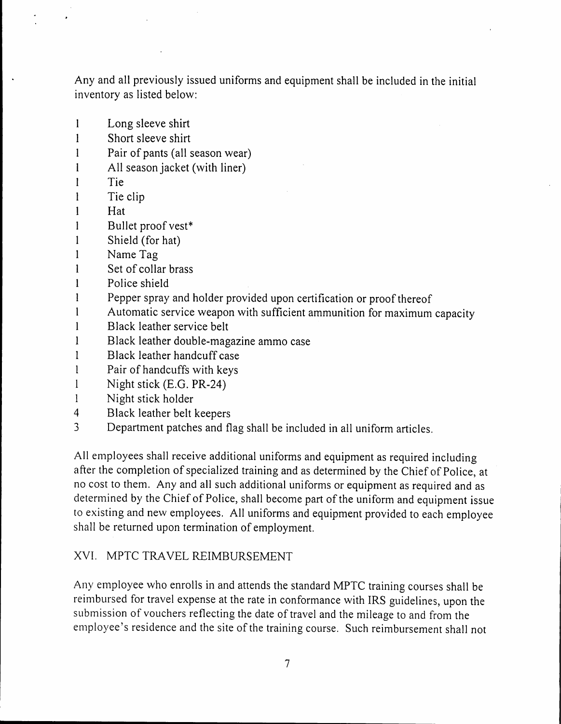Any and all previously issued uniforms and equipment shall be included in the initial inventory as listed below:

- I Long sleeve shirt
- I Short sleeve shirt
- I Pair of pants (all season wear)
- I All season jacket (with liner)
- I **Tie**
- $\mathbf{I}$ Tie clip
- I Hat
- $\mathbf{I}$ Bullet proof vest\*
- I Shield (for hat)
- 1 Name Tag
- 1 Set of collar brass
- 1 Police shield
- 1 Pepper spray and holder provided upon certification or proof thereof
- 1 Automatic service weapon with sufficient ammunition for maximum capacity
- 1 Black leather service belt
- 1 Black leather double-magazine ammo case
- 1 Black leather handcuff case
- 1 Pair of handcuffs with keys
- $\mathbf{I}$ Night stick (E.G. PR-24)
- 1 Night stick holder
- 4 Black leather belt keepers
- 3 Department patches and flag shall be included in all uniform articles.

All employees shall receive additional uniforms and equipment as required including after the completion of specialized training and as determined by the Chief of Police, at no cost to them. Any and all such additional uniforms or equipment as required and as determined by the Chief of Police, shall become part of the uniform and equipment issue to existing and new employees. All uniforms and equipment provided to each employee shall be returned upon termination of employment.

#### XVI. MPTC TRAVEL REIMBURSEMENT

Any employee who enrolls in and attends the standard MPTC training courses shall be reimbursed for travel expense at the rate in conformance with IRS guidelines, upon the submission of vouchers reflecting the date of travel and the mileage to and from the employee's residence and the site of the training course. Such reimbursement shall not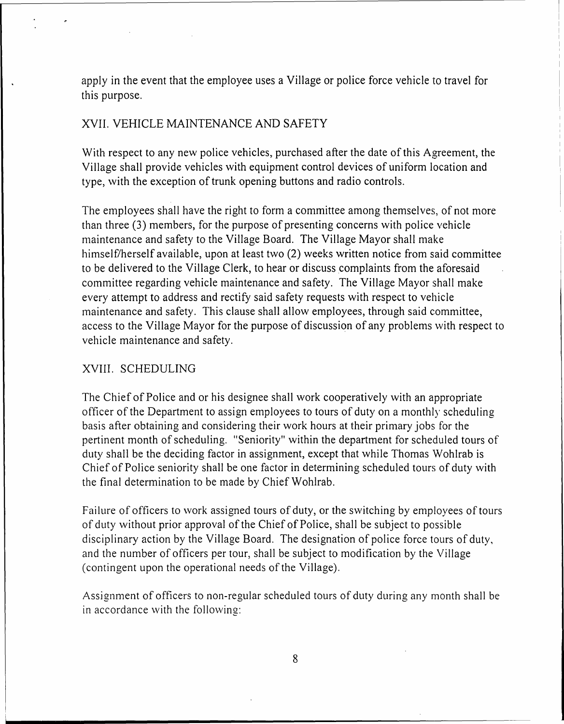apply in the event that the employee uses a Village or police force vehicle to travel for this purpose.

#### XVII. VEHICLE MAINTENANCE AND SAFETY

With respect to any new police vehicles, purchased after the date of this Agreement, the Village shall provide vehicles \vith equipment control devices of uniform location and type, with the exception of trunk opening buttons and radio controls.

The employees shall have the right to form a committee among themselves, of not more than three (3) members, for the purpose of presenting concerns \vith police vehicle maintenance and safety to the Village Board. The Village Mayor shall make himself/herself available, upon at least two (2) weeks written notice from said committee to be delivered to the Village Clerk, to hear or discuss complaints from the aforesaid committee regarding vehicle maintenance and safety. The Village Mayor shall make every attempt to address and rectify said safety requests with respect to vehicle maintenance and safety. This clause shall allow employees, through said committee, access to the Village Mayor for the purpose of discussion of any problems \vith respect to vehicle maintenance and safety.

#### XVIII. SCHEDULING

The Chief of Police and or his designee shall work cooperatively with an appropriate officer of the Department to assign employees to tours of duty on a monthly scheduling basis after obtaining and considering their \vork hours at their primary jobs for the pertinent month of scheduling. "Seniority" within the department for scheduled tours of duty shall be the deciding factor in assignment, except that while Thomas Wohlrab is Chief of Police seniority shall be one factor in determining scheduled tours of duty with the final determination to be made by Chief Wohlrab.

Failure of officers to work assigned tours of duty, or the switching by employees of tours of duty \vithout prior approval of the Chief of Police, shall be subject to possible disciplinary action by the Village Board. The designation of police force tours of duty, and the number of officers per tour, shall be subject to modification by the Village (contingent upon the operational needs of the Village).

Assignment of officers to non-regular scheduled tours of duty during any month shall be in accordance with the following: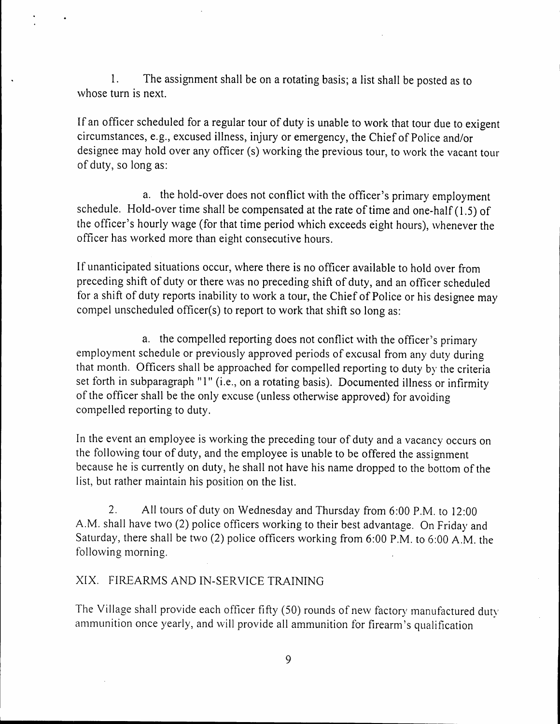1. The assignment shall be on a rotating basis; a list shall be posted as to whose turn is next.

If an officer scheduled for a regular tour of duty is unable to work that tour due to exigent circumstances, e.g., excused illness, injury or emergency, the Chief of Police and/or designee may hold over any officer (s) working the previous tour, to work the vacant tour of duty, so long as:

a. the hold-over does not conflict with the officer's primary employment schedule. Hold-over time shall be compensated at the rate of time and one-half  $(1.5)$  of the officer's hourly wage (for that time period which exceeds eight hours), whenever the officer has worked more than eight consecutive hours.

If unanticipated situations occur, where there is no officer available to hold over from preceding shift of duty or there was no preceding shift of duty, and an officer scheduled for a shift of duty reports inability to work a tour, the Chief of Police or his designee may compel unscheduled officer(s) to report to work that shift so long as:

a. the compelled reporting does not conflict with the officer's primary employment schedule or previously approved periods of excusal from any duty during that month. Officers shall be approached for compelled reporting to duty by the criteria set forth in subparagraph "1" (i.e., on a rotating basis). Documented illness or infirmity of the officer shall be the only excuse (unless otherwise approved) for avoiding compelled reporting to duty.

In the event an employee is working the preceding tour of duty and a vacancy occurs on the following tour of duty, and the employee is unable to be offered the assignment because he is currently on duty, he shall not have his name dropped to the bottom of the list, but rather maintain his position on the list.

2. All tours of duty on Wednesday and Thursday from 6:00 P.M. to 12:00 A.M. shall have two (2) police officers working to their best advantage. On Friday and Saturday, there shall be two (2) police officers working from 6:00 P.M. to 6:00 A.M. the following morning.

## XIX. FIREARMS AND IN-SERVICE TRAINING

The Village shall provide each officer fifty (50) rounds of new factory manufactured duty ammunition once yearly, and will provide all ammunition for firearm's qualification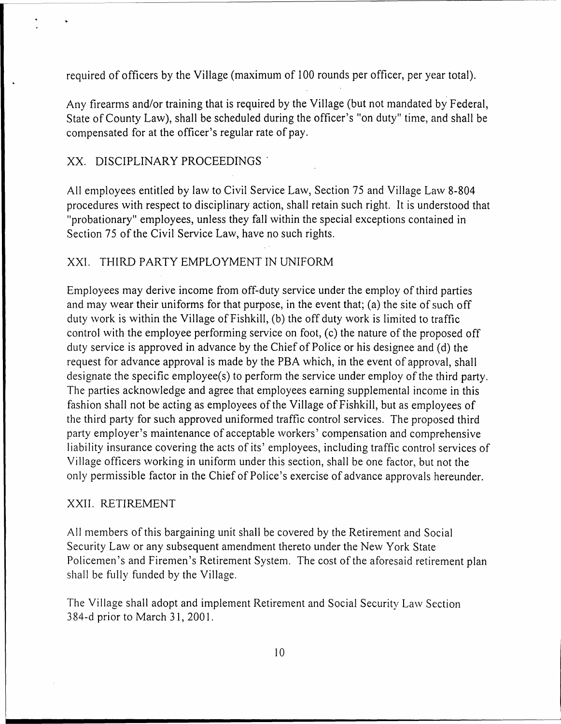required of officers by the Village (maximum of 100 rounds per officer, per year total).

Any firearms and/or training that is required by the Village (but not mandated by Federal, State of County Law), shall be scheduled during the officer's "on duty" time, and shall be compensated for at the officer's regular rate of pay.

#### XX. DISCIPLINARY PROCEEDINGS'

All employees entitled by law to Civil Service Law, Section 75 and Village Law 8-804 procedures \vith respect to disciplinary action, shall retain such right. It is understood that "probationary" employees, unless they fall \vithin the special exceptions contained in Section 75 of the Civil Service Law, have no such rights.

#### XXI. THIRD PARTY EMPLOYMENT IN UNIFORM

Employees may derive income from off-duty service under the employ of third parties and may wear their uniforms for that purpose, in the event that; (a) the site of such off duty work is within the Village of Fishkill, (b) the off duty work is limited to traffic control with the employee performing service on foot, (c) the nature of the proposed off duty service is approved in advance by the Chief of Police or his designee and (d) the request for advance approval is made by the PBA which, in the event of approval, shall designate the specific employee(s) to perform the service under employ of the third party. The parties acknowledge and agree that employees earning supplemental income in this fashion shall not be acting as employees of the Village of Fishkill, but as employees of the third party for such approved uniformed traffic control services. The proposed third party employer's maintenance of acceptable workers' compensation and comprehensive liability insurance covering the acts of its' employees, including traffic control services of Village officers working in uniform under this section, shall be one factor, but not the only permissible factor in the Chief of Police's exercise of advance approvals hereunder.

#### XXII. RETIREMENT

All members of this bargaining unit shall be covered by the Retirement and Social Security Law or any subsequent amendment thereto under the New York State Policemen's and Firemen's Retirement System. The cost of the aforesaid retirement plan shall be fully funded by the Village.

The Village shall adopt and implement Retirement and Social Security La\v Section 384-d prior to March 31, 2001.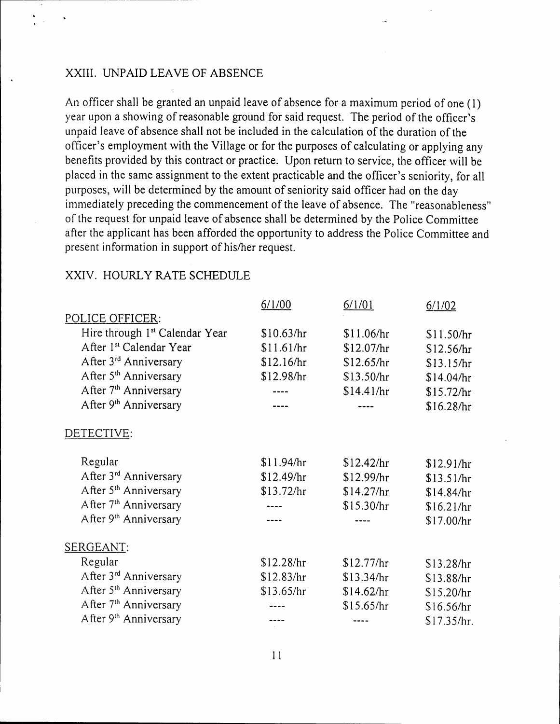#### XXIII. UNPAID LEAVE OF ABSENCE

An officer shall be granted an unpaid leave of absence for a maximum period of one (1) year upon a showing of reasonable ground for said request. The period of the officer's unpaid leave of absence shall not be included in the calculation of the duration of the officer's employment with the Village or for the purposes of calculating or applying any benefits provided by this contract or practice. Upon return to service, the officer \vill be placed in the same assignment to the extent practicable and the officer's seniority, for all purposes, will be determined by the amount of seniority said officer had on the day inimediately preceding the commencement of the leave of absence. The "reasonableness" of the request for unpaid leave of absence shall be determined by the Police Committee after the applicant has been afforded the opportunity to address the Police Cornmittee and present information in support of his/her request.

|                                            | 6/1/00     | 6/1/01     | 6/1/02      |
|--------------------------------------------|------------|------------|-------------|
| POLICE OFFICER:                            |            |            |             |
| Hire through 1 <sup>st</sup> Calendar Year | \$10.63/hr | \$11.06/hr | \$11.50/hr  |
| After 1st Calendar Year                    | \$11.61/hr | \$12.07/hr | \$12.56/hr  |
| After 3 <sup>rd</sup> Anniversary          | \$12.16/hr | \$12.65/hr | \$13.15/hr  |
| After 5 <sup>th</sup> Anniversary          | \$12.98/hr | \$13.50/hr | \$14.04/hr  |
| After 7 <sup>th</sup> Anniversary          |            | \$14.41/hr | \$15.72/hr  |
| After 9 <sup>th</sup> Anniversary          |            |            | \$16.28/hr  |
| DETECTIVE:                                 |            |            |             |
| Regular                                    | \$11.94/hr | \$12.42/hr | \$12.91/hr  |
| After 3rd Anniversary                      | \$12.49/hr | \$12.99/hr | \$13.51/hr  |
| After 5 <sup>th</sup> Anniversary          | \$13.72/hr | \$14.27/hr | \$14.84/hr  |
| After 7 <sup>th</sup> Anniversary          |            | \$15.30/hr | \$16.21/hr  |
| After 9 <sup>th</sup> Anniversary          |            |            | \$17.00/hr  |
| SERGEANT:                                  |            |            |             |
| Regular                                    | \$12.28/hr | \$12.77/hr | \$13.28/hr  |
| After 3rd Anniversary                      | \$12.83/hr | \$13.34/hr | \$13.88/hr  |
| After 5 <sup>th</sup> Anniversary          | \$13.65/hr | \$14.62/hr | \$15.20/hr  |
| After 7 <sup>th</sup> Anniversary          |            | \$15.65/hr | \$16.56/hr  |
| After 9 <sup>th</sup> Anniversary          |            | ----       | \$17.35/hr. |

#### XXIV. HOURLY RATE SCHEDULE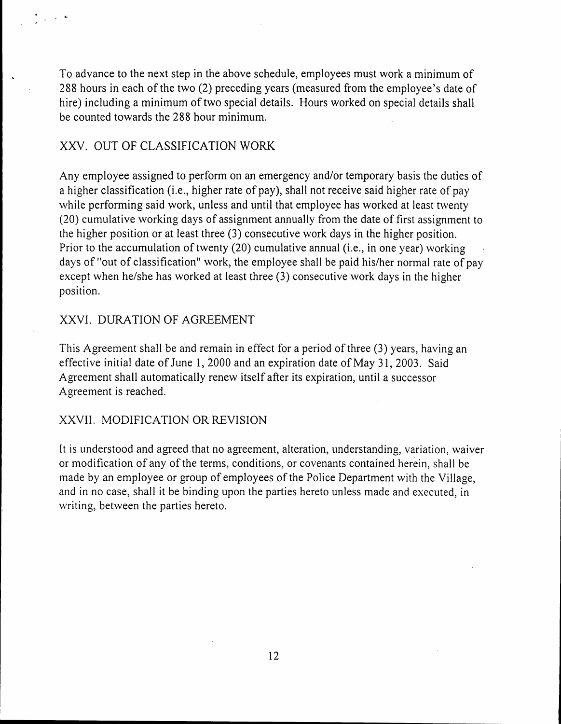To advance to the next step in the above schedule, employees must work a minimum of 288 hours in each of the two (2) preceding years (measured from the employee's date of hire) including a minimum of two special details. Hours worked on special details shall be counted towards the 288 hour minimum.

#### XXV. OUT OF CLASSIFICATION WORK

. ,.

Any employee assigned to perform on an emergency and/or temporary basis the duties of a higher classification (i.e., higher rate of pay), shall not receive said higher rate of pay while performing said work, unless and until that employee has worked at least twenty (20) cumulative working days of assignment annually from the date of first assignment to the higher position or at least three (3) consecutive work days in the higher position. Prior to the accumulation of twenty (20) cumulative annual (i.e., in one year) working days of "out of classification" work, the employee shall be paid his/her normal rate of pay except when he/she has worked at least three (3) consecutive work days in the higher position.

#### XXVI. DURATION OF AGREEMENT

This Agreement shall be and remain in effect for a period of three (3) years, having an effective initial date of June 1,2000 and an expiration date of May 31,2003. Said Agreement shall automatically renew itself after its expiration, until a successor Agreement is reached.

#### XXVII. MODIFICATION OR REVISION

It is understood and agreed that no agreement, alteration, understanding, variation, waiver or modification of any of the terms, conditions, or covenants contained herein, shall be made by an employee or group of employees of the Police Department with the Village, and in no case, shall it be binding upon the parties hereto unless made and executed, in writing, between the parties hereto.